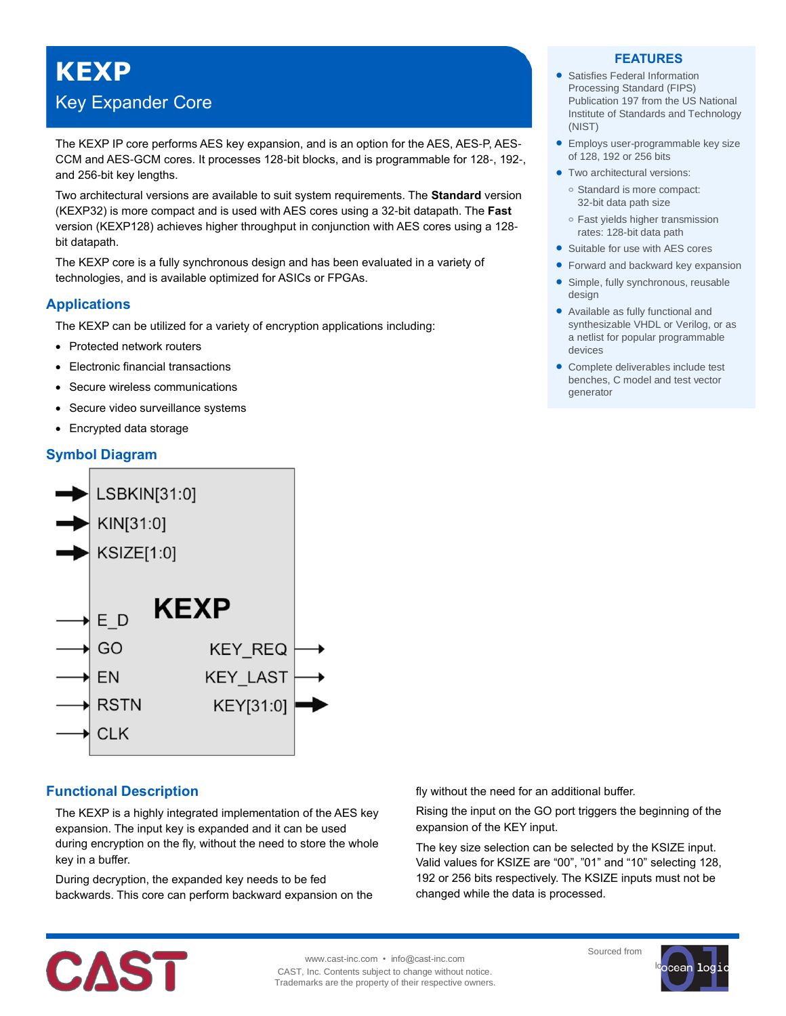# **KEXP**

## Key Expander Core

The KEXP IP core performs AES key expansion, and is an option for the AES, AES-P, AES-CCM and AES-GCM cores. It processes 128-bit blocks, and is programmable for 128-, 192-, and 256-bit key lengths.

Two architectural versions are available to suit system requirements. The **Standard** version (KEXP32) is more compact and is used with AES cores using a 32-bit datapath. The **Fast** version (KEXP128) achieves higher throughput in conjunction with AES cores using a 128 bit datapath.

The KEXP core is a fully synchronous design and has been evaluated in a variety of technologies, and is available optimized for ASICs or FPGAs.

### **Applications**

The KEXP can be utilized for a variety of encryption applications including:

- Protected network routers
- Electronic financial transactions
- Secure wireless communications
- Secure video surveillance systems
- Encrypted data storage

### **Symbol Diagram**



### **Functional Description**

The KEXP is a highly integrated implementation of the AES key expansion. The input key is expanded and it can be used during encryption on the fly, without the need to store the whole key in a buffer.

During decryption, the expanded key needs to be fed backwards. This core can perform backward expansion on the fly without the need for an additional buffer.

Rising the input on the GO port triggers the beginning of the expansion of the KEY input.

The key size selection can be selected by the KSIZE input. Valid values for KSIZE are "00", "01" and "10" selecting 128, 192 or 256 bits respectively. The KSIZE inputs must not be changed while the data is processed.



www.cast-inc.com • info@cast-inc.com CAST, Inc. Contents subject to change without notice. Trademarks are the property of their respective owners.

#### Sourced from



#### **FEATURES**

- Satisfies Federal Information Processing Standard (FIPS) Publication 197 from the US National Institute of Standards and Technology (NIST)
- **Employs user-programmable key size** of 128, 192 or 256 bits
- **•** Two architectural versions: **o** Standard is more compact: 32-bit data path size
	- **o** Fast yields higher transmission rates: 128-bit data path
- Suitable for use with AES cores
- Forward and backward key expansion
- Simple, fully synchronous, reusable design
- Available as fully functional and synthesizable VHDL or Verilog, or as a netlist for popular programmable devices
- Complete deliverables include test benches, C model and test vector generator